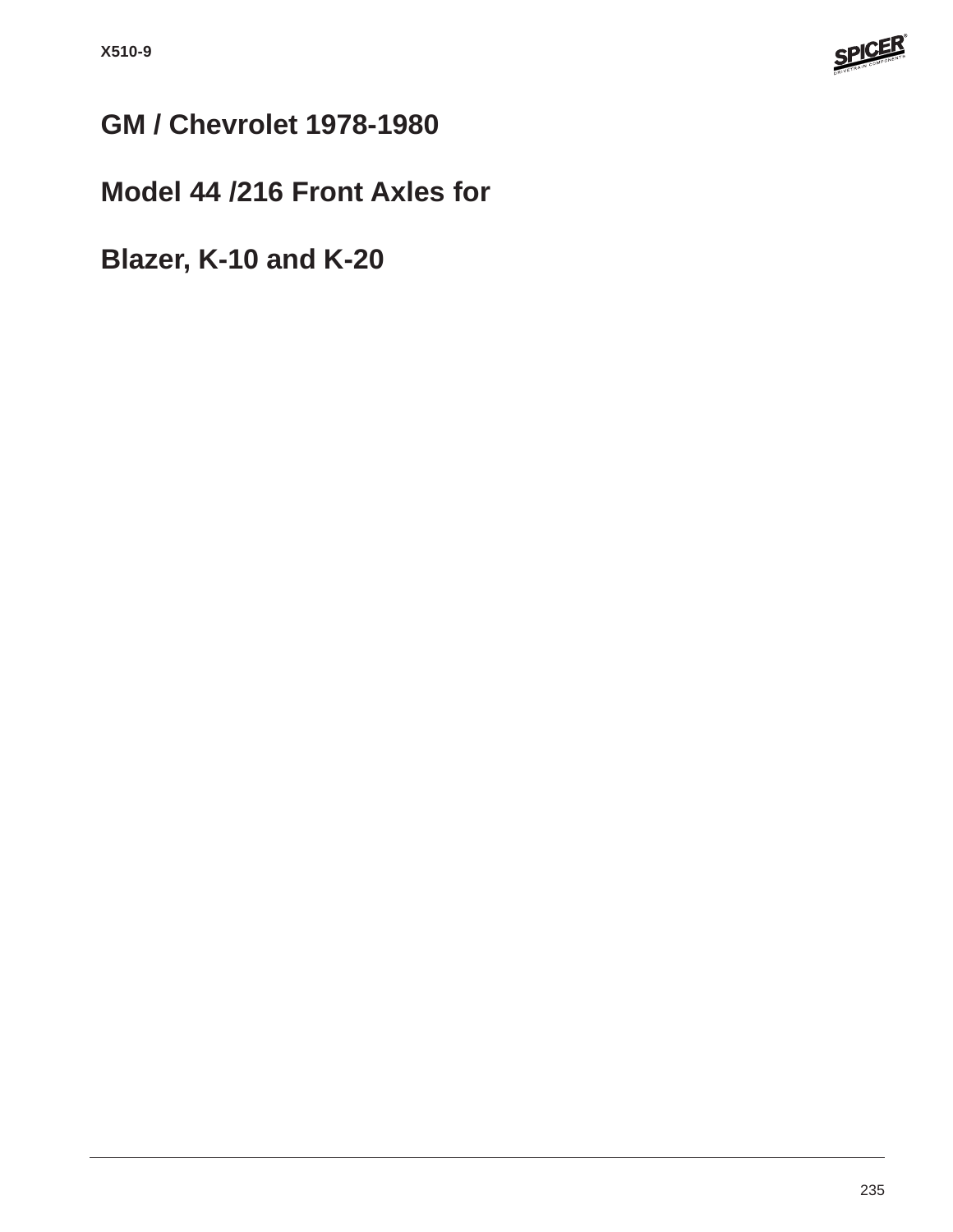

# **GM / Chevrolet 1978-1980**

## **Model 44 /216 Front Axles for**

**Blazer, K-10 and K-20**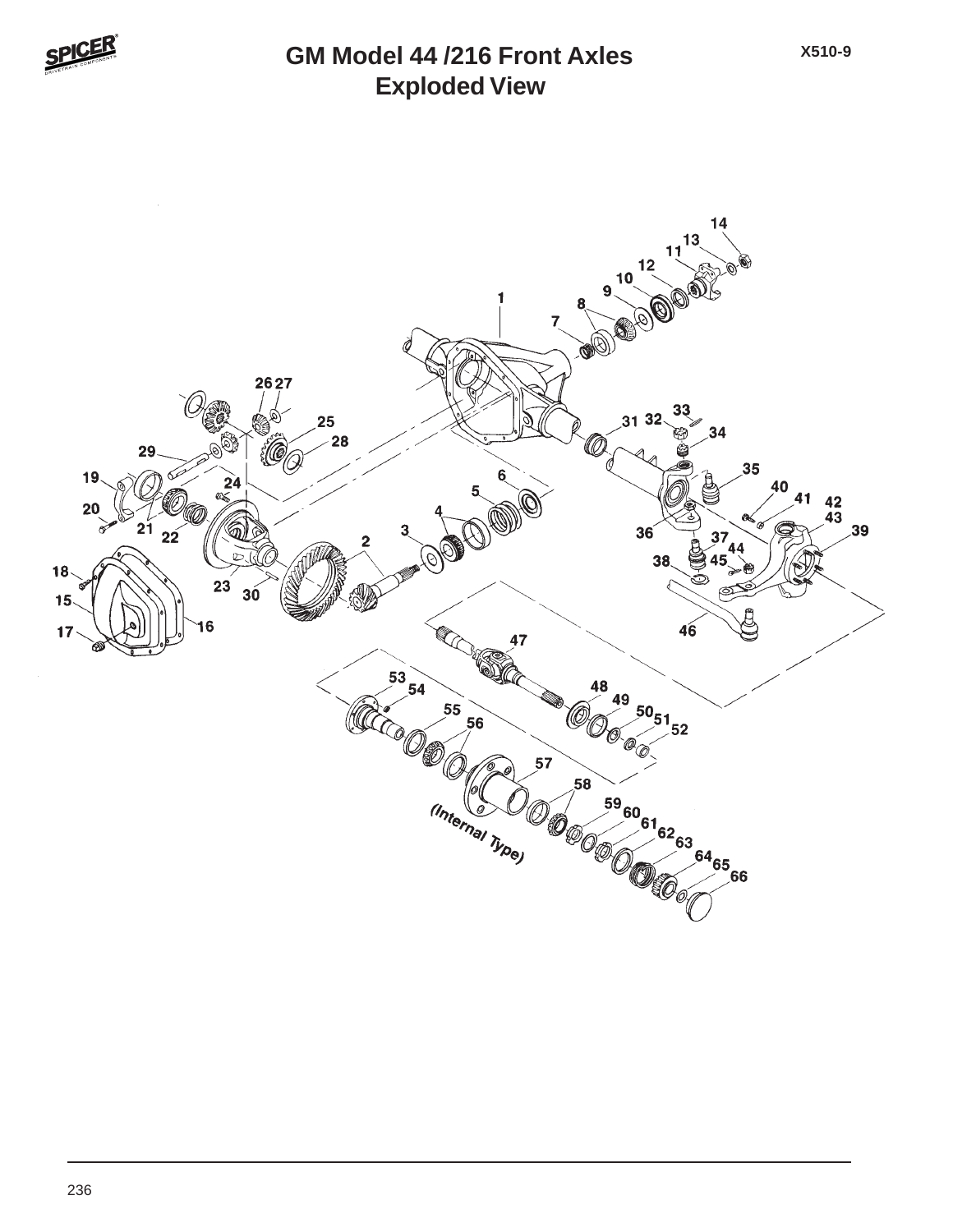

#### **Exploded View GM Model 44 /216 Front Axles**

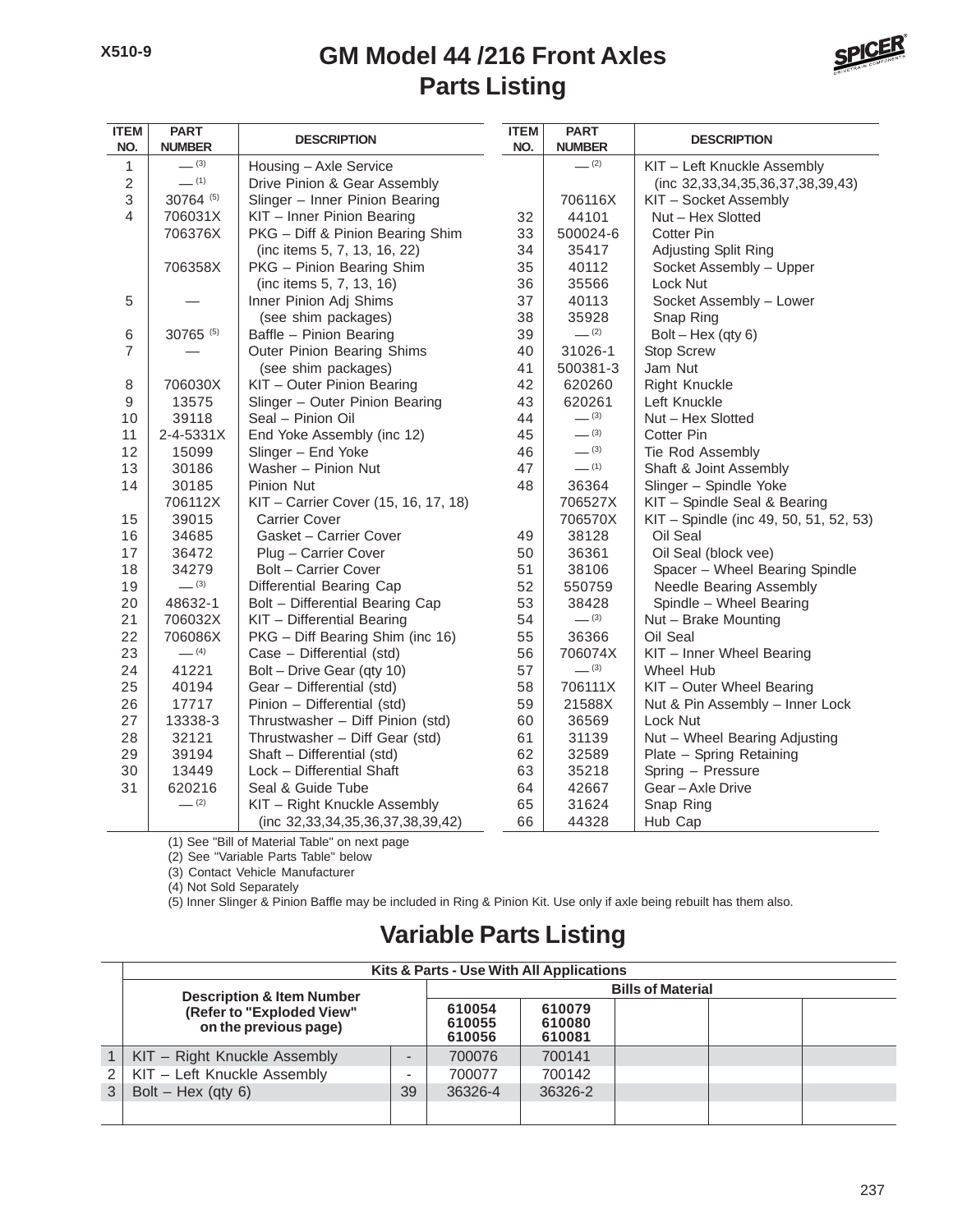#### **Parts Listing GM Model 44 /216 Front Axles**



| <b>ITEM</b><br>NO. | <b>PART</b><br><b>NUMBER</b> | <b>DESCRIPTION</b>                   | <b>ITEM</b><br>NO. | <b>PART</b><br><b>NUMBER</b> | <b>DESCRIPTION</b>                       |
|--------------------|------------------------------|--------------------------------------|--------------------|------------------------------|------------------------------------------|
| $\mathbf{1}$       | $- (3)$                      | Housing - Axle Service               |                    | $- (2)$                      | KIT - Left Knuckle Assembly              |
| $\overline{c}$     | $-$ (1)                      | Drive Pinion & Gear Assembly         |                    |                              | (inc 32, 33, 34, 35, 36, 37, 38, 39, 43) |
| 3                  | 30764 (5)                    | Slinger - Inner Pinion Bearing       |                    | 706116X                      | KIT - Socket Assembly                    |
| 4                  | 706031X                      | KIT - Inner Pinion Bearing           | 32                 | 44101                        | Nut - Hex Slotted                        |
|                    | 706376X                      | PKG - Diff & Pinion Bearing Shim     | 33                 | 500024-6                     | <b>Cotter Pin</b>                        |
|                    |                              | (inc items 5, 7, 13, 16, 22)         | 34                 | 35417                        | Adjusting Split Ring                     |
|                    | 706358X                      | PKG - Pinion Bearing Shim            | 35                 | 40112                        | Socket Assembly - Upper                  |
|                    |                              | (inc items 5, 7, 13, 16)             | 36                 | 35566                        | Lock Nut                                 |
| 5                  |                              | Inner Pinion Adj Shims               | 37                 | 40113                        | Socket Assembly - Lower                  |
|                    |                              | (see shim packages)                  | 38                 | 35928                        | Snap Ring                                |
| 6                  | 30765 (5)                    | Baffle - Pinion Bearing              | 39                 | $- (2)$                      | $Bolt - Hex (qty 6)$                     |
| $\overline{7}$     |                              | Outer Pinion Bearing Shims           | 40                 | 31026-1                      | <b>Stop Screw</b>                        |
|                    |                              | (see shim packages)                  | 41                 | 500381-3                     | Jam Nut                                  |
| 8                  | 706030X                      | KIT - Outer Pinion Bearing           | 42                 | 620260                       | <b>Right Knuckle</b>                     |
| 9                  | 13575                        | Slinger - Outer Pinion Bearing       | 43                 | 620261                       | Left Knuckle                             |
| 10                 | 39118                        | Seal - Pinion Oil                    | 44                 | $- (3)$                      | Nut - Hex Slotted                        |
| 11                 | 2-4-5331X                    | End Yoke Assembly (inc 12)           | 45                 | $- (3)$                      | Cotter Pin                               |
| 12                 | 15099                        | Slinger - End Yoke                   | 46                 | $- (3)$                      | Tie Rod Assembly                         |
| 13                 | 30186                        | Washer - Pinion Nut                  | 47                 | $-$ (1)                      | Shaft & Joint Assembly                   |
| 14                 | 30185                        | Pinion Nut                           | 48                 | 36364                        | Slinger - Spindle Yoke                   |
|                    | 706112X                      | KIT - Carrier Cover (15, 16, 17, 18) |                    | 706527X                      | KIT - Spindle Seal & Bearing             |
| 15                 | 39015                        | <b>Carrier Cover</b>                 |                    | 706570X                      | KIT - Spindle (inc 49, 50, 51, 52, 53)   |
| 16                 | 34685                        | Gasket - Carrier Cover               | 49                 | 38128                        | Oil Seal                                 |
| 17                 | 36472                        | Plug - Carrier Cover                 | 50                 | 36361                        | Oil Seal (block vee)                     |
| 18                 | 34279                        | Bolt - Carrier Cover                 | 51                 | 38106                        | Spacer - Wheel Bearing Spindle           |
| 19                 | $- (3)$                      | Differential Bearing Cap             | 52                 | 550759                       | Needle Bearing Assembly                  |
| 20                 | 48632-1                      | Bolt - Differential Bearing Cap      | 53                 | 38428                        | Spindle - Wheel Bearing                  |
| 21                 | 706032X                      | KIT - Differential Bearing           | 54                 | $- (3)$                      | Nut - Brake Mounting                     |
| 22                 | 706086X                      | PKG - Diff Bearing Shim (inc 16)     | 55                 | 36366                        | Oil Seal                                 |
| 23                 | $-$ (4)                      | Case - Differential (std)            | 56                 | 706074X                      | KIT - Inner Wheel Bearing                |
| 24                 | 41221                        | Bolt - Drive Gear (qty 10)           | 57                 | $- (3)$                      | Wheel Hub                                |
| 25                 | 40194                        | Gear - Differential (std)            | 58                 | 706111X                      | KIT - Outer Wheel Bearing                |
| 26                 | 17717                        | Pinion - Differential (std)          | 59                 | 21588X                       | Nut & Pin Assembly - Inner Lock          |
| 27                 | 13338-3                      | Thrustwasher - Diff Pinion (std)     | 60                 | 36569                        | Lock Nut                                 |
| 28                 | 32121                        | Thrustwasher - Diff Gear (std)       | 61                 | 31139                        | Nut - Wheel Bearing Adjusting            |
| 29                 | 39194                        | Shaft - Differential (std)           | 62                 | 32589                        | Plate - Spring Retaining                 |
| 30                 | 13449                        | Lock - Differential Shaft            | 63                 | 35218                        | Spring - Pressure                        |
| 31                 | 620216                       | Seal & Guide Tube                    | 64                 | 42667                        | Gear-Axle Drive                          |
|                    | $- (2)$                      | KIT - Right Knuckle Assembly         | 65                 | 31624                        | Snap Ring                                |
|                    |                              | (inc 32,33,34,35,36,37,38,39,42)     | 66                 | 44328                        | Hub Cap                                  |

(1) See "Bill of Material Table" on next page (2) See "Variable Parts Table" below

(3) Contact Vehicle Manufacturer

(4) Not Sold Separately

(5) Inner Slinger & Pinion Baffle may be included in Ring & Pinion Kit. Use only if axle being rebuilt has them also.

## **Variable Parts Listing**

| Kits & Parts - Use With All Applications           |                            |                            |         |  |  |  |  |
|----------------------------------------------------|----------------------------|----------------------------|---------|--|--|--|--|
| <b>Description &amp; Item Number</b>               | <b>Bills of Material</b>   |                            |         |  |  |  |  |
| (Refer to "Exploded View"<br>on the previous page) | 610054<br>610055<br>610056 | 610079<br>610080<br>610081 |         |  |  |  |  |
| KIT - Right Knuckle Assembly                       |                            | 700076                     | 700141  |  |  |  |  |
| KIT - Left Knuckle Assembly                        |                            | 700077                     | 700142  |  |  |  |  |
| Bolt – Hex (qty $6$ )                              | 39                         | 36326-4                    | 36326-2 |  |  |  |  |
|                                                    |                            |                            |         |  |  |  |  |